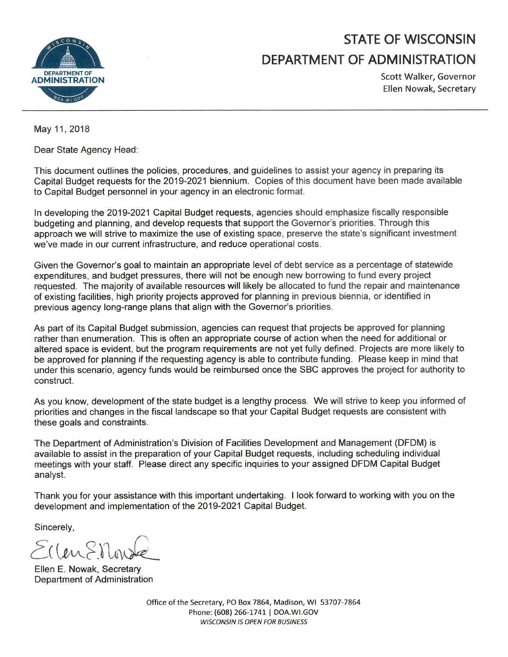

# **STATE OF WISCONSIN** DEPARTMENT OF ADMINISTRATION

Scott Walker, Governor Ellen Nowak, Secretary

May 11, 2018

Dear State Agency Head:

This document outlines the policies, procedures, and quidelines to assist your agency in preparing its Capital Budget requests for the 2019-2021 biennium. Copies of this document have been made available to Capital Budget personnel in your agency in an electronic format.

In developing the 2019-2021 Capital Budget requests, agencies should emphasize fiscally responsible budgeting and planning, and develop requests that support the Governor's priorities. Through this approach we will strive to maximize the use of existing space, preserve the state's significant investment we've made in our current infrastructure, and reduce operational costs.

Given the Governor's goal to maintain an appropriate level of debt service as a percentage of statewide expenditures, and budget pressures, there will not be enough new borrowing to fund every project requested. The majority of available resources will likely be allocated to fund the repair and maintenance of existing facilities, high priority projects approved for planning in previous biennia, or identified in previous agency long-range plans that align with the Governor's priorities.

As part of its Capital Budget submission, agencies can request that projects be approved for planning rather than enumeration. This is often an appropriate course of action when the need for additional or altered space is evident, but the program requirements are not yet fully defined. Projects are more likely to be approved for planning if the requesting agency is able to contribute funding. Please keep in mind that under this scenario, agency funds would be reimbursed once the SBC approves the project for authority to construct.

As you know, development of the state budget is a lengthy process. We will strive to keep you informed of priorities and changes in the fiscal landscape so that your Capital Budget requests are consistent with these goals and constraints.

The Department of Administration's Division of Facilities Development and Management (DFDM) is available to assist in the preparation of your Capital Budget requests, including scheduling individual meetings with your staff. Please direct any specific inquiries to your assigned DFDM Capital Budget analyst.

Thank you for your assistance with this important undertaking. I look forward to working with you on the development and implementation of the 2019-2021 Capital Budget.

Sincerely,

 $S(1$ en $S$ Non

Ellen E. Nowak, Secretary Department of Administration

Office of the Secretary, PO Box 7864, Madison, WI 53707-7864 Phone: (608) 266-1741 | DOA.WI.GOV **WISCONSIN IS OPEN FOR BUSINESS**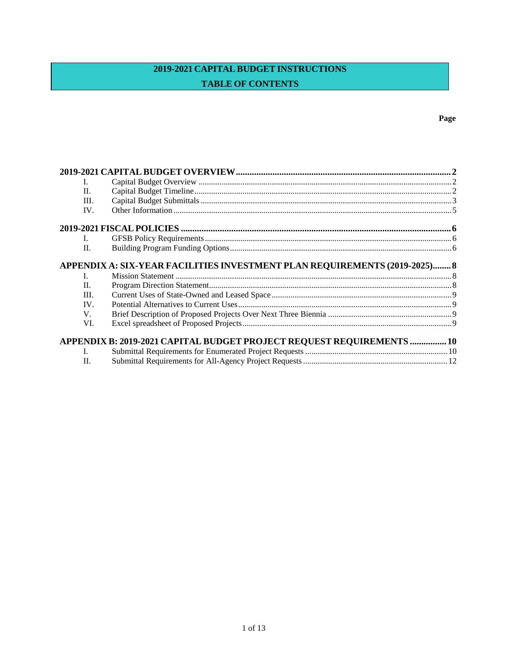## 2019-2021 CAPITAL BUDGET INSTRUCTIONS **TABLE OF CONTENTS**

| L                                                                          |  |  |
|----------------------------------------------------------------------------|--|--|
| II.                                                                        |  |  |
| III.                                                                       |  |  |
| IV.                                                                        |  |  |
|                                                                            |  |  |
| $\mathbf{I}$ .                                                             |  |  |
| II.                                                                        |  |  |
| APPENDIX A: SIX-YEAR FACILITIES INVESTMENT PLAN REQUIREMENTS (2019-2025) 8 |  |  |
| L                                                                          |  |  |
| H.                                                                         |  |  |
| III.                                                                       |  |  |
| IV.                                                                        |  |  |
| V.                                                                         |  |  |
| VI.                                                                        |  |  |
| APPENDIX B: 2019-2021 CAPITAL BUDGET PROJECT REQUEST REQUIREMENTS  10      |  |  |
| $\mathbf{L}$                                                               |  |  |
| H.                                                                         |  |  |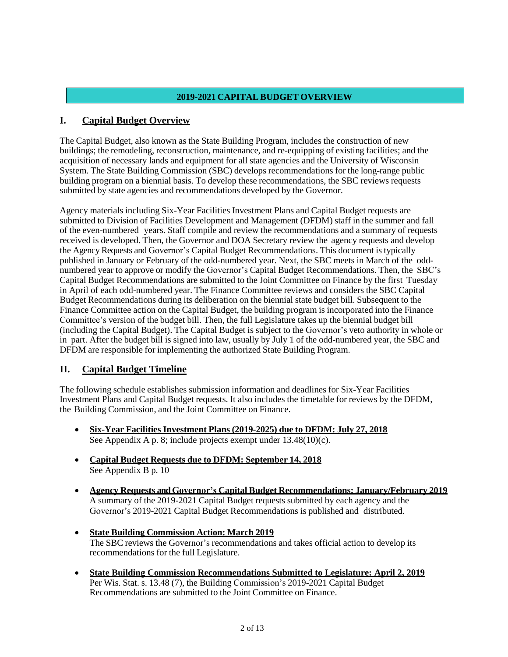## **2019-2021 CAPITAL BUDGET OVERVIEW**

## <span id="page-2-0"></span>**I. Capital Budget Overview**

The Capital Budget, also known as the State Building Program, includes the construction of new buildings; the remodeling, reconstruction, maintenance, and re-equipping of existing facilities; and the acquisition of necessary lands and equipment for all state agencies and the University of Wisconsin System. The State Building Commission (SBC) develops recommendations for the long-range public building program on a biennial basis. To develop these recommendations, the SBC reviews requests submitted by state agencies and recommendations developed by the Governor.

Agency materials including Six-Year Facilities Investment Plans and Capital Budget requests are submitted to Division of Facilities Development and Management (DFDM) staff in the summer and fall of the even-numbered years. Staff compile and review the recommendations and a summary of requests received is developed. Then, the Governor and DOA Secretary review the agency requests and develop the Agency Requests and Governor's Capital Budget Recommendations. This document is typically published in January or February of the odd-numbered year. Next, the SBC meets in March of the oddnumbered year to approve or modify the Governor's Capital Budget Recommendations. Then, the SBC's Capital Budget Recommendations are submitted to the Joint Committee on Finance by the first Tuesday in April of each odd-numbered year. The Finance Committee reviews and considers the SBC Capital Budget Recommendations during its deliberation on the biennial state budget bill. Subsequent to the Finance Committee action on the Capital Budget, the building program is incorporated into the Finance Committee's version of the budget bill. Then, the full Legislature takes up the biennial budget bill (including the Capital Budget). The Capital Budget is subject to the Governor's veto authority in whole or in part. After the budget bill is signed into law, usually by July 1 of the odd-numbered year, the SBC and DFDM are responsible for implementing the authorized State Building Program.

## <span id="page-2-1"></span>**II. Capital Budget Timeline**

The following schedule establishes submission information and deadlines for Six-Year Facilities Investment Plans and Capital Budget requests. It also includes the timetable for reviews by the DFDM, the Building Commission, and the Joint Committee on Finance.

- **Six-Year Facilities Investment Plans (2019-2025) due to DFDM: July 27, 2018** See Appendix A p. 8; include projects exempt under  $13.48(10)(c)$ .
- **Capital Budget Requests due to DFDM: September 14, 2018** See Appendix B p. 10
- **Agency Requests and Governor's Capital Budget Recommendations: January/February 2019** A summary of the 2019-2021 Capital Budget requests submitted by each agency and the Governor's 2019-2021 Capital Budget Recommendations is published and distributed.
- **State Building Commission Action: March 2019** The SBC reviews the Governor's recommendations and takes official action to develop its recommendations for the full Legislature.
- **State Building Commission Recommendations Submitted to Legislature: April 2, 2019** Per Wis. Stat. s. 13.48 (7), the Building Commission's 2019-2021 Capital Budget Recommendations are submitted to the Joint Committee on Finance.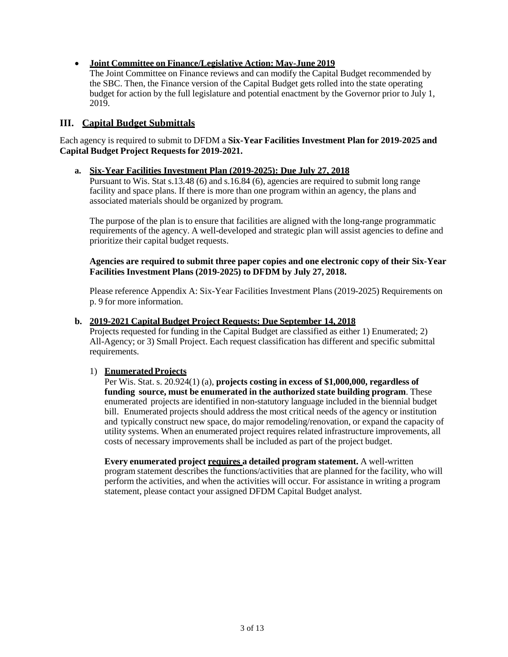## • **Joint Committee on Finance/Legislative Action: May-June 2019**

The Joint Committee on Finance reviews and can modify the Capital Budget recommended by the SBC. Then, the Finance version of the Capital Budget gets rolled into the state operating budget for action by the full legislature and potential enactment by the Governor prior to July 1, 2019.

## <span id="page-3-0"></span>**III. Capital Budget Submittals**

Each agency is required to submit to DFDM a **Six-Year Facilities Investment Plan for 2019-2025 and Capital Budget Project Requests for 2019-2021.**

#### **a. Six-Year Facilities Investment Plan (2019-2025): Due July 27, 2018**

Pursuant to Wis. Stat s.13.48 (6) and s.16.84 (6), agencies are required to submit long range facility and space plans. If there is more than one program within an agency, the plans and associated materials should be organized by program.

The purpose of the plan is to ensure that facilities are aligned with the long-range programmatic requirements of the agency. A well-developed and strategic plan will assist agencies to define and prioritize their capital budget requests.

#### **Agencies are required to submit three paper copies and one electronic copy of their Six-Year Facilities Investment Plans (2019-2025) to DFDM by July 27, 2018.**

Please reference Appendix A: Six-Year Facilities Investment Plans (2019-2025) Requirements on p. 9 for more information.

#### **b. 2019-2021 Capital Budget Project Requests: Due September 14, 2018**

Projects requested for funding in the Capital Budget are classified as either 1) Enumerated; 2) All-Agency; or 3) Small Project. Each request classification has different and specific submittal requirements.

#### 1) **Enumerated Projects**

Per Wis. Stat. s. 20.924(1) (a), **projects costing in excess of \$1,000,000, regardless of funding source, must be enumerated in the authorized state building program**. These enumerated projects are identified in non-statutory language included in the biennial budget bill. Enumerated projects should address the most critical needs of the agency or institution and typically construct new space, do major remodeling/renovation, or expand the capacity of utility systems. When an enumerated project requires related infrastructure improvements, all costs of necessary improvements shall be included as part of the project budget.

**Every enumerated project requires a detailed program statement.** A well-written program statement describes the functions/activities that are planned for the facility, who will perform the activities, and when the activities will occur. For assistance in writing a program statement, please contact your assigned DFDM Capital Budget analyst.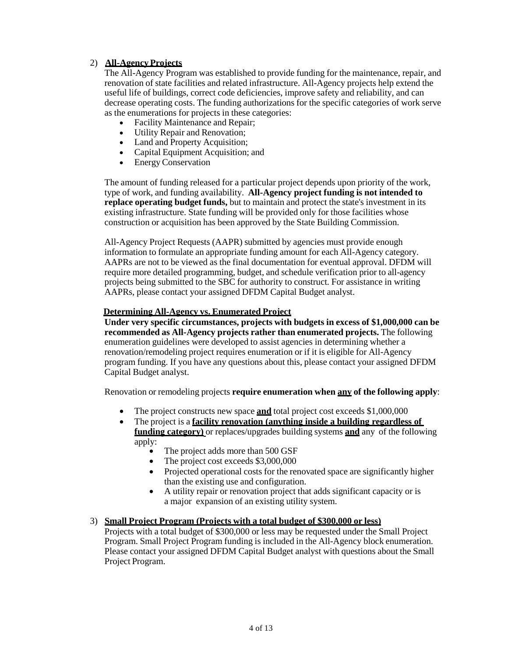## 2) **All-Agency Projects**

The All-Agency Program was established to provide funding for the maintenance, repair, and renovation of state facilities and related infrastructure. All-Agency projects help extend the useful life of buildings, correct code deficiencies, improve safety and reliability, and can decrease operating costs. The funding authorizations for the specific categories of work serve as the enumerations for projects in these categories:

- Facility Maintenance and Repair;
- Utility Repair and Renovation;
- Land and Property Acquisition;
- Capital Equipment Acquisition; and
- Energy Conservation

The amount of funding released for a particular project depends upon priority of the work, type of work, and funding availability. **All-Agency project funding is not intended to replace operating budget funds,** but to maintain and protect the state's investment in its existing infrastructure. State funding will be provided only for those facilities whose construction or acquisition has been approved by the State Building Commission.

All-Agency Project Requests (AAPR) submitted by agencies must provide enough information to formulate an appropriate funding amount for each All-Agency category. AAPRs are not to be viewed as the final documentation for eventual approval. DFDM will require more detailed programming, budget, and schedule verification prior to all-agency projects being submitted to the SBC for authority to construct. For assistance in writing AAPRs, please contact your assigned DFDM Capital Budget analyst.

#### **Determining All-Agency vs. Enumerated Project**

**Under very specific circumstances, projects with budgets in excess of \$1,000,000 can be recommended as All-Agency projects rather than enumerated projects.** The following enumeration guidelines were developed to assist agencies in determining whether a renovation/remodeling project requires enumeration or if it is eligible for All-Agency program funding. If you have any questions about this, please contact your assigned DFDM Capital Budget analyst.

Renovation or remodeling projects **require enumeration when any of the following apply**:

- The project constructs new space **and** total project cost exceeds \$1,000,000
- The project is a **facility renovation (anything inside a building regardless of funding category)** or replaces/upgrades building systems **and** any of the following apply:
	- The project adds more than 500 GSF
	- The project cost exceeds \$3,000,000
	- Projected operational costs for the renovated space are significantly higher than the existing use and configuration.
	- A utility repair or renovation project that adds significant capacity or is a major expansion of an existing utility system.

#### 3) **Small Project Program (Projects with a total budget of \$300,000 or less)**

Projects with a total budget of \$300,000 or less may be requested under the Small Project Program. Small Project Program funding is included in the All-Agency block enumeration. Please contact your assigned DFDM Capital Budget analyst with questions about the Small Project Program.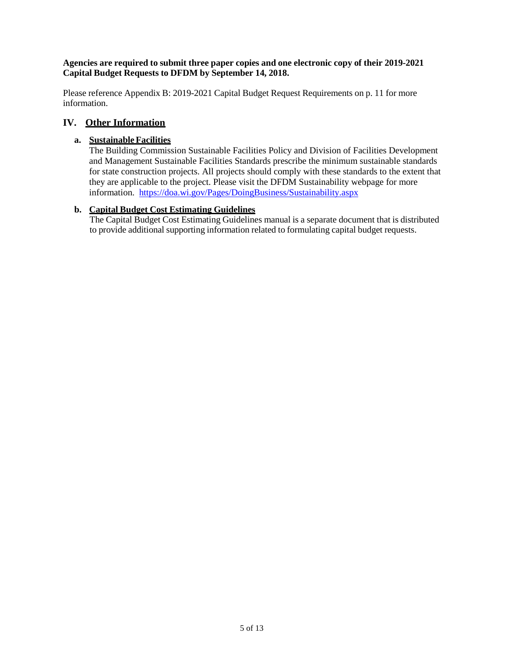#### **Agencies are required to submit three paper copies and one electronic copy of their 2019-2021 Capital Budget Requests to DFDM by September 14, 2018.**

Please reference Appendix B: 2019-2021 Capital Budget Request Requirements on p. 11 for more information.

## <span id="page-5-0"></span>**IV. Other Information**

#### **a. Sustainable Facilities**

The Building Commission Sustainable Facilities Policy and Division of Facilities Development and Management Sustainable Facilities Standards prescribe the minimum sustainable standards for state construction projects. All projects should comply with these standards to the extent that they are applicable to the project. Please visit the DFDM Sustainability webpage for more information. <https://doa.wi.gov/Pages/DoingBusiness/Sustainability.aspx>

## **b. Capital Budget Cost Estimating Guidelines**

The Capital Budget Cost Estimating Guidelines manual is a separate document that is distributed to provide additional supporting information related to formulating capital budget requests.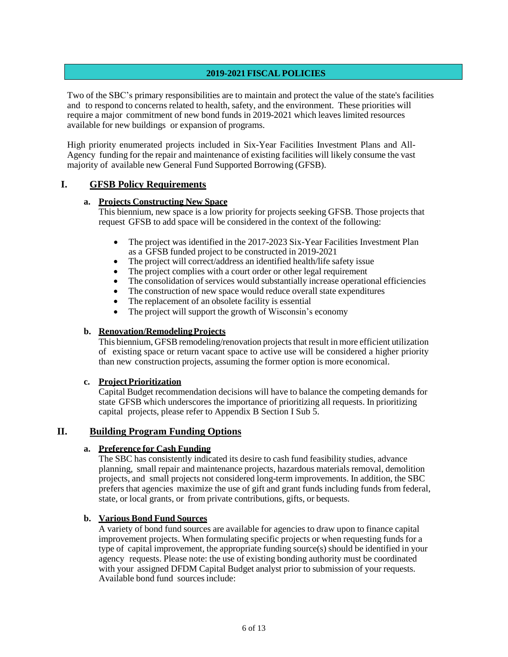## **2019-2021 FISCAL POLICIES**

Two of the SBC's primary responsibilities are to maintain and protect the value of the state's facilities and to respond to concerns related to health, safety, and the environment. These priorities will require a major commitment of new bond funds in 2019-2021 which leaves limited resources available for new buildings or expansion of programs.

High priority enumerated projects included in Six-Year Facilities Investment Plans and All-Agency funding for the repair and maintenance of existing facilities will likely consume the vast majority of available new General Fund Supported Borrowing (GFSB).

## <span id="page-6-0"></span>**I. GFSB Policy Requirements**

#### **a. Projects Constructing New Space**

This biennium, new space is a low priority for projects seeking GFSB. Those projects that request GFSB to add space will be considered in the context of the following:

- The project was identified in the 2017-2023 Six-Year Facilities Investment Plan as a GFSB funded project to be constructed in 2019-2021
- The project will correct/address an identified health/life safety issue
- The project complies with a court order or other legal requirement
- The consolidation of services would substantially increase operational efficiencies
- The construction of new space would reduce overall state expenditures
- The replacement of an obsolete facility is essential
- The project will support the growth of Wisconsin's economy

#### **b. Renovation/RemodelingProjects**

This biennium, GFSB remodeling/renovation projects that result in more efficient utilization of existing space or return vacant space to active use will be considered a higher priority than new construction projects, assuming the former option is more economical.

#### **c. ProjectPrioritization**

Capital Budget recommendation decisions will have to balance the competing demands for state GFSB which underscores the importance of prioritizing all requests. In prioritizing capital projects, please refer to Appendix B Section I Sub 5.

#### <span id="page-6-1"></span>**II. Building Program Funding Options**

#### **a. Preference for Cash Funding**

The SBC has consistently indicated its desire to cash fund feasibility studies, advance planning, small repair and maintenance projects, hazardous materials removal, demolition projects, and small projects not considered long-term improvements. In addition, the SBC prefers that agencies maximize the use of gift and grant funds including funds from federal, state, or local grants, or from private contributions, gifts, or bequests.

#### **b. Various Bond Fund Sources**

A variety of bond fund sources are available for agencies to draw upon to finance capital improvement projects. When formulating specific projects or when requesting funds for a type of capital improvement, the appropriate funding source(s) should be identified in your agency requests. Please note: the use of existing bonding authority must be coordinated with your assigned DFDM Capital Budget analyst prior to submission of your requests. Available bond fund sourcesinclude: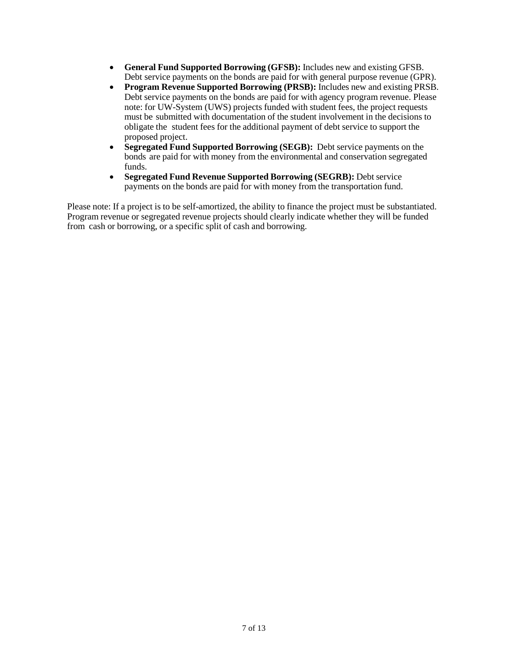- **General Fund Supported Borrowing (GFSB):** Includes new and existing GFSB. Debt service payments on the bonds are paid for with general purpose revenue (GPR).
- **Program Revenue Supported Borrowing (PRSB):** Includes new and existing PRSB. Debt service payments on the bonds are paid for with agency program revenue. Please note: for UW-System (UWS) projects funded with student fees, the project requests must be submitted with documentation of the student involvement in the decisions to obligate the student fees for the additional payment of debt service to support the proposed project.
- **Segregated Fund Supported Borrowing (SEGB):** Debt service payments on the bonds are paid for with money from the environmental and conservation segregated funds.
- **Segregated Fund Revenue Supported Borrowing (SEGRB):** Debt service payments on the bonds are paid for with money from the transportation fund.

Please note: If a project is to be self-amortized, the ability to finance the project must be substantiated. Program revenue or segregated revenue projects should clearly indicate whether they will be funded from cash or borrowing, or a specific split of cash and borrowing.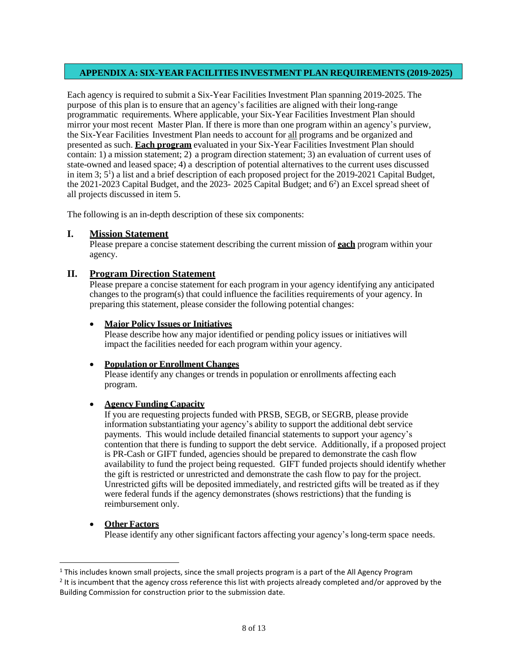## **APPENDIX A: SIX-YEAR FACILITIES INVESTMENT PLAN REQUIREMENTS (2019-2025)**

Each agency is required to submit a Six-Year Facilities Investment Plan spanning 2019-2025. The purpose of this plan is to ensure that an agency's facilities are aligned with their long-range programmatic requirements. Where applicable, your Six-Year Facilities Investment Plan should mirror your most recent Master Plan. If there is more than one program within an agency's purview, the Six-Year Facilities Investment Plan needs to account for all programs and be organized and presented as such. **Each program** evaluated in your Six-Year Facilities Investment Plan should contain: 1) a mission statement; 2) a program direction statement; 3) an evaluation of current uses of state-owned and leased space; 4) a description of potential alternatives to the current uses discussed in item 3; 5<sup>1</sup>) a list and a brief description of each proposed project for the 2019-2021 Capital Budget, the 2021-2023 Capital Budget, and the 2023- 2025 Capital Budget; and 6<sup>2</sup>) an Excel spread sheet of all projects discussed in item 5.

The following is an in-depth description of these six components:

## <span id="page-8-0"></span>**I. Mission Statement**

Please prepare a concise statement describing the current mission of **each** program within your agency.

#### <span id="page-8-1"></span>**II. Program Direction Statement**

Please prepare a concise statement for each program in your agency identifying any anticipated changes to the program(s) that could influence the facilities requirements of your agency. In preparing this statement, please consider the following potential changes:

#### • **Major Policy Issues or Initiatives**

Please describe how any major identified or pending policy issues or initiatives will impact the facilities needed for each program within your agency.

#### • **Population or Enrollment Changes**

Please identify any changes or trends in population or enrollments affecting each program.

#### • **Agency Funding Capacity**

If you are requesting projects funded with PRSB, SEGB, or SEGRB, please provide information substantiating your agency's ability to support the additional debt service payments. This would include detailed financial statements to support your agency's contention that there is funding to support the debt service. Additionally, if a proposed project is PR-Cash or GIFT funded, agencies should be prepared to demonstrate the cash flow availability to fund the project being requested. GIFT funded projects should identify whether the gift is restricted or unrestricted and demonstrate the cash flow to pay for the project. Unrestricted gifts will be deposited immediately, and restricted gifts will be treated as if they were federal funds if the agency demonstrates (shows restrictions) that the funding is reimbursement only.

#### • **Other Factors**

 $\overline{a}$ 

Please identify any other significant factors affecting your agency's long-term space needs.

 $1$  This includes known small projects, since the small projects program is a part of the All Agency Program

 $2$  It is incumbent that the agency cross reference this list with projects already completed and/or approved by the Building Commission for construction prior to the submission date.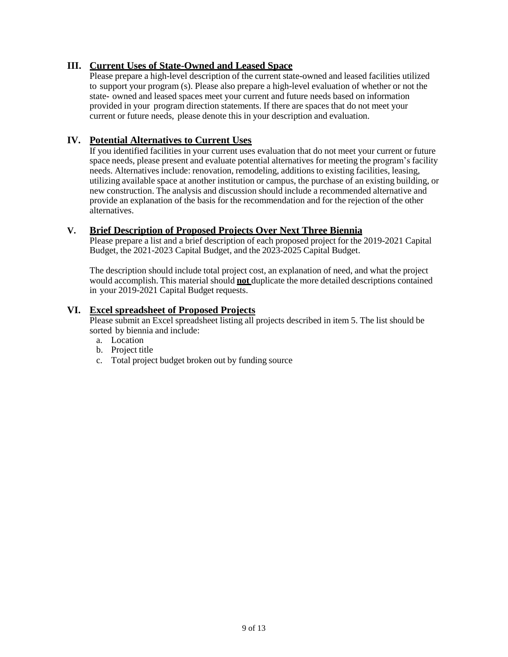## <span id="page-9-0"></span>**III. Current Uses of State-Owned and Leased Space**

Please prepare a high-level description of the current state-owned and leased facilities utilized to support your program (s). Please also prepare a high-level evaluation of whether or not the state- owned and leased spaces meet your current and future needs based on information provided in your program direction statements. If there are spaces that do not meet your current or future needs, please denote this in your description and evaluation.

## <span id="page-9-1"></span>**IV. Potential Alternatives to Current Uses**

If you identified facilities in your current uses evaluation that do not meet your current or future space needs, please present and evaluate potential alternatives for meeting the program's facility needs. Alternatives include: renovation, remodeling, additions to existing facilities, leasing, utilizing available space at another institution or campus, the purchase of an existing building, or new construction. The analysis and discussion should include a recommended alternative and provide an explanation of the basis for the recommendation and for the rejection of the other alternatives.

## <span id="page-9-2"></span>**V. Brief Description of Proposed Projects Over Next Three Biennia**

Please prepare a list and a brief description of each proposed project for the 2019-2021 Capital Budget, the 2021-2023 Capital Budget, and the 2023-2025 Capital Budget.

The description should include total project cost, an explanation of need, and what the project would accomplish. This material should **not** duplicate the more detailed descriptions contained in your 2019-2021 Capital Budget requests.

## <span id="page-9-3"></span>**VI. Excel spreadsheet of Proposed Projects**

Please submit an Excel spreadsheet listing all projects described in item 5. The list should be sorted by biennia and include:

- a. Location
- b. Project title
- c. Total project budget broken out by funding source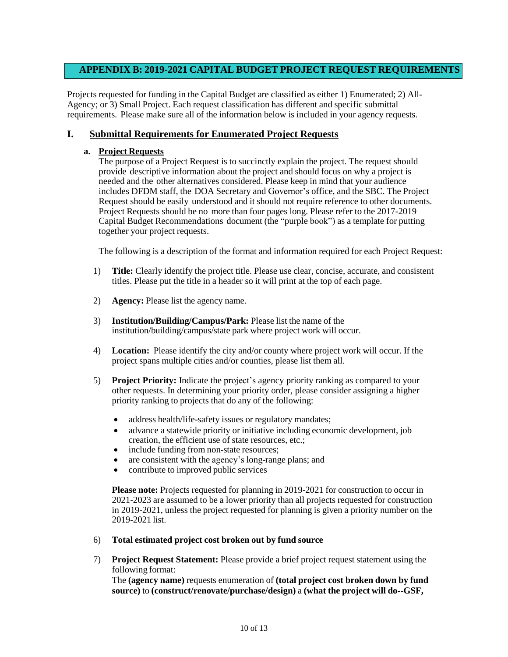## **APPENDIX B: 2019-2021 CAPITAL BUDGET PROJECT REQUEST REQUIREMENTS**

Projects requested for funding in the Capital Budget are classified as either 1) Enumerated; 2) All-Agency; or 3) Small Project. Each request classification has different and specific submittal requirements. Please make sure all of the information below is included in your agency requests.

## <span id="page-10-0"></span>**I. Submittal Requirements for Enumerated Project Requests**

#### **a. Project Requests**

The purpose of a Project Request is to succinctly explain the project. The request should provide descriptive information about the project and should focus on why a project is needed and the other alternatives considered. Please keep in mind that your audience includes DFDM staff, the DOA Secretary and Governor's office, and the SBC. The Project Request should be easily understood and it should not require reference to other documents. Project Requests should be no more than four pages long. Please refer to the 2017-2019 Capital Budget Recommendations document (the "purple book") as a template for putting together your project requests.

The following is a description of the format and information required for each Project Request:

- 1) **Title:** Clearly identify the project title. Please use clear, concise, accurate, and consistent titles. Please put the title in a header so it will print at the top of each page.
- 2) **Agency:** Please list the agency name.
- 3) **Institution/Building/Campus/Park:** Please list the name of the institution/building/campus/state park where project work will occur.
- 4) **Location:** Please identify the city and/or county where project work will occur. If the project spans multiple cities and/or counties, please list them all.
- 5) **Project Priority:** Indicate the project's agency priority ranking as compared to your other requests. In determining your priority order, please consider assigning a higher priority ranking to projects that do any of the following:
	- address health/life-safety issues or regulatory mandates;
	- advance a statewide priority or initiative including economic development, job creation, the efficient use of state resources, etc.;
	- include funding from non-state resources;
	- are consistent with the agency's long-range plans; and
	- contribute to improved public services

**Please note:** Projects requested for planning in 2019-2021 for construction to occur in 2021-2023 are assumed to be a lower priority than all projects requested for construction in 2019-2021, unless the project requested for planning is given a priority number on the 2019-2021 list.

#### 6) **Total estimated project cost broken out by fund source**

7) **Project Request Statement:** Please provide a brief project request statement using the following format:

The **(agency name)** requests enumeration of **(total project cost broken down by fund source)** to **(construct/renovate/purchase/design)** a **(what the project will do--GSF,**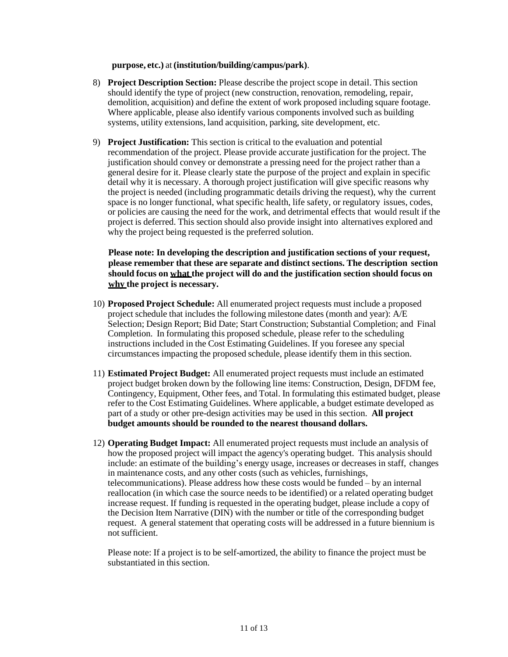**purpose, etc.)** at **(institution/building/campus/park)**.

- 8) **Project Description Section:** Please describe the project scope in detail. This section should identify the type of project (new construction, renovation, remodeling, repair, demolition, acquisition) and define the extent of work proposed including square footage. Where applicable, please also identify various components involved such as building systems, utility extensions, land acquisition, parking, site development, etc.
- 9) **Project Justification:** This section is critical to the evaluation and potential recommendation of the project. Please provide accurate justification for the project. The justification should convey or demonstrate a pressing need for the project rather than a general desire for it. Please clearly state the purpose of the project and explain in specific detail why it is necessary. A thorough project justification will give specific reasons why the project is needed (including programmatic details driving the request), why the current space is no longer functional, what specific health, life safety, or regulatory issues, codes, or policies are causing the need for the work, and detrimental effects that would result if the project is deferred. This section should also provide insight into alternatives explored and why the project being requested is the preferred solution.

**Please note: In developing the description and justification sections of your request, please remember that these are separate and distinct sections. The description section should focus on what the project will do and the justification section should focus on why the project is necessary.**

- 10) **Proposed Project Schedule:** All enumerated project requests must include a proposed project schedule that includes the following milestone dates (month and year): A/E Selection; Design Report; Bid Date; Start Construction; Substantial Completion; and Final Completion. In formulating this proposed schedule, please refer to the scheduling instructions included in the Cost Estimating Guidelines. If you foresee any special circumstances impacting the proposed schedule, please identify them in this section.
- 11) **Estimated Project Budget:** All enumerated project requests must include an estimated project budget broken down by the following line items: Construction, Design, DFDM fee, Contingency, Equipment, Other fees, and Total. In formulating this estimated budget, please refer to the Cost Estimating Guidelines. Where applicable, a budget estimate developed as part of a study or other pre-design activities may be used in this section. **All project budget amounts should be rounded to the nearest thousand dollars.**
- 12) **Operating Budget Impact:** All enumerated project requests must include an analysis of how the proposed project will impact the agency's operating budget. This analysis should include: an estimate of the building's energy usage, increases or decreases in staff, changes in maintenance costs, and any other costs (such as vehicles, furnishings, telecommunications). Please address how these costs would be funded – by an internal reallocation (in which case the source needs to be identified) or a related operating budget increase request. If funding is requested in the operating budget, please include a copy of the Decision Item Narrative (DIN) with the number or title of the corresponding budget request. A general statement that operating costs will be addressed in a future biennium is not sufficient.

Please note: If a project is to be self-amortized, the ability to finance the project must be substantiated in this section.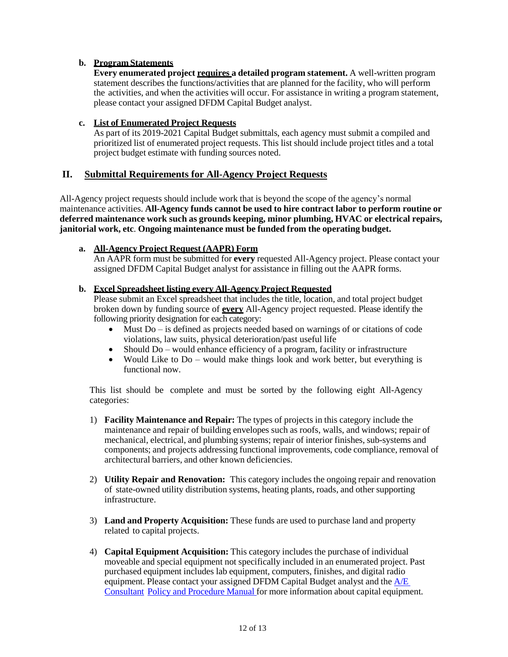#### **b. Program Statements**

**Every enumerated project requires a detailed program statement.** A well-written program statement describes the functions/activities that are planned for the facility, who will perform the activities, and when the activities will occur. For assistance in writing a program statement, please contact your assigned DFDM Capital Budget analyst.

#### **c. List of Enumerated Project Requests**

As part of its 2019-2021 Capital Budget submittals, each agency must submit a compiled and prioritized list of enumerated project requests. This list should include project titles and a total project budget estimate with funding sources noted.

## <span id="page-12-0"></span>**II. Submittal Requirements for All-Agency Project Requests**

All-Agency project requests should include work that is beyond the scope of the agency's normal maintenance activities. **All-Agency funds cannot be used to hire contract labor to perform routine or deferred maintenance work such as grounds keeping, minor plumbing, HVAC or electrical repairs, janitorial work, etc**. **Ongoing maintenance must be funded from the operating budget.**

#### **a. All-Agency Project Request (AAPR) Form**

An AAPR form must be submitted for **every** requested All-Agency project. Please contact your assigned DFDM Capital Budget analyst for assistance in filling out the AAPR forms.

#### **b. Excel Spreadsheet listing every All-Agency Project Requested**

Please submit an Excel spreadsheet that includes the title, location, and total project budget broken down by funding source of **every** All-Agency project requested. Please identify the following priority designation for each category:

- Must Do is defined as projects needed based on warnings of or citations of code violations, law suits, physical deterioration/past useful life
- Should Do would enhance efficiency of a program, facility or infrastructure
- Would Like to Do would make things look and work better, but everything is functional now.

This list should be complete and must be sorted by the following eight All-Agency categories:

- 1) **Facility Maintenance and Repair:** The types of projects in this category include the maintenance and repair of building envelopes such as roofs, walls, and windows; repair of mechanical, electrical, and plumbing systems; repair of interior finishes, sub-systems and components; and projects addressing functional improvements, code compliance, removal of architectural barriers, and other known deficiencies.
- 2) **Utility Repair and Renovation:** This category includes the ongoing repair and renovation of state-owned utility distribution systems, heating plants, roads, and other supporting infrastructure.
- 3) **Land and Property Acquisition:** These funds are used to purchase land and property related to capital projects.
- 4) **Capital Equipment Acquisition:** This category includes the purchase of individual moveable and special equipment not specifically included in an enumerated project. Past purchased equipment includes lab equipment, computers, finishes, and digital radio equipment. Please contact your assigned DFDM Capital Budget analyst and the  $A/E$ Consultant Policy and Procedure Manual for more information about capital equipment.